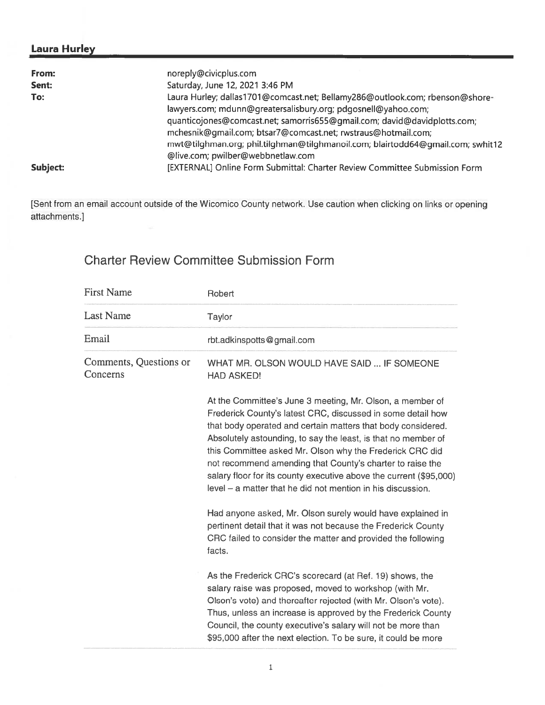## Laura Hurley

| From:    | noreply@civicplus.com                                                           |
|----------|---------------------------------------------------------------------------------|
| Sent:    | Saturday, June 12, 2021 3:46 PM                                                 |
| To:      | Laura Hurley; dallas1701@comcast.net; Bellamy286@outlook.com; rbenson@shore-    |
|          | lawyers.com; mdunn@greatersalisbury.org; pdgosnell@yahoo.com;                   |
|          | quanticojones@comcast.net; samorris655@gmail.com; david@davidplotts.com;        |
|          | mchesnik@gmail.com; btsar7@comcast.net; rwstraus@hotmail.com;                   |
|          | mwt@tilghman.org; phil.tilghman@tilghmanoil.com; blairtodd64@gmail.com; swhit12 |
|          | @live.com; pwilber@webbnetlaw.com                                               |
| Subject: | [EXTERNAL] Online Form Submittal: Charter Review Committee Submission Form      |

[Sent from an email account outside of the Wicomico County network. Use caution when clicking on links or opening attachments.]

## Charter Review Committee Submission Form

| Robert                                                                                                                                                                                                                                                                                                                                                                                                                                                                                                                                                                                                                                                   |
|----------------------------------------------------------------------------------------------------------------------------------------------------------------------------------------------------------------------------------------------------------------------------------------------------------------------------------------------------------------------------------------------------------------------------------------------------------------------------------------------------------------------------------------------------------------------------------------------------------------------------------------------------------|
| Taylor                                                                                                                                                                                                                                                                                                                                                                                                                                                                                                                                                                                                                                                   |
| rbt.adkinspotts@gmail.com                                                                                                                                                                                                                                                                                                                                                                                                                                                                                                                                                                                                                                |
| WHAT MR. OLSON WOULD HAVE SAID  IF SOMEONE<br><b>HAD ASKED!</b>                                                                                                                                                                                                                                                                                                                                                                                                                                                                                                                                                                                          |
| At the Committee's June 3 meeting, Mr. Olson, a member of<br>Frederick County's latest CRC, discussed in some detail how<br>that body operated and certain matters that body considered.<br>Absolutely astounding, to say the least, is that no member of<br>this Committee asked Mr. Olson why the Frederick CRC did<br>not recommend amending that County's charter to raise the<br>salary floor for its county executive above the current (\$95,000)<br>$level - a$ matter that he did not mention in his discussion.<br>Had anyone asked, Mr. Olson surely would have explained in<br>pertinent detail that it was not because the Frederick County |
| CRC failed to consider the matter and provided the following<br>facts.                                                                                                                                                                                                                                                                                                                                                                                                                                                                                                                                                                                   |
| As the Frederick CRC's scorecard (at Ref. 19) shows, the<br>salary raise was proposed, moved to workshop (with Mr.<br>Olson's vote) and thereafter rejected (with Mr. Olson's vote).<br>Thus, unless an increase is approved by the Frederick County<br>Council, the county executive's salary will not be more than<br>\$95,000 after the next election. To be sure, it could be more                                                                                                                                                                                                                                                                   |
|                                                                                                                                                                                                                                                                                                                                                                                                                                                                                                                                                                                                                                                          |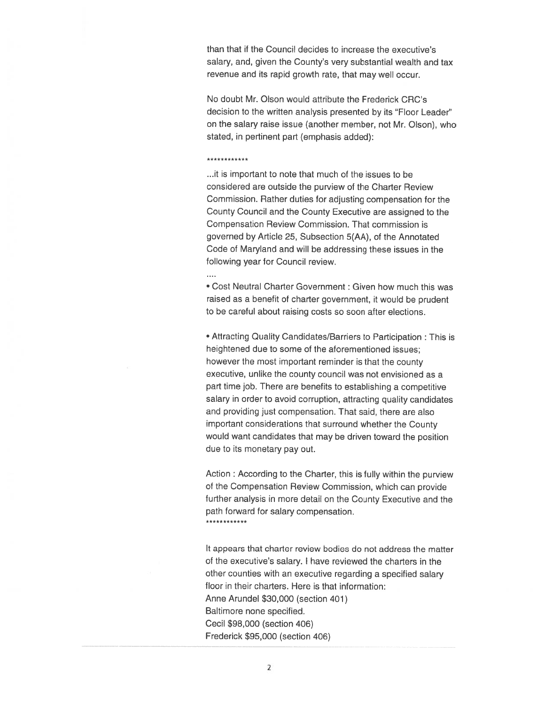than that if the Council decides to increase the executive's salary, and, given the County's very substantial wealth and tax revenue and its rapid growth rate, that may well occur.

No doubt Mr. Olson would attribute the Frederick CRC's decision to the written analysis presented by its "Floor Leader" on the salary raise issue (another member, not Mr. Olson), who stated, in pertinent par<sup>t</sup> (emphasis added):

\*\*\*\*\*\*\*\*\*\*

. . . .

...it is important to note that much of the issues to be considered are outside the purview of the Charter Review Commission. Rather duties for adjusting compensation for the County Council and the County Executive are assigned to the Compensation Review Commission. That commission is governed by Article 25, Subsection 5(AA), of the Annotated Code of Maryland and will be addressing these issues in the following year for Council review.

• Cost Neutral Charter Government : Given how much this was raised as <sup>a</sup> benefit of charter government, it would be prudent to be careful about raising costs so soon after elections.

• Attracting Quality Candidates/Barriers to Participation : This is heightened due to some of the aforementioned issues; however the most important reminder is that the county executive, unlike the county council was not envisioned as <sup>a</sup> par<sup>t</sup> time job. There are benefits to establishing <sup>a</sup> competitive salary in order to avoid corruption, attracting quality candidates and providing just compensation. That said, there are also important considerations that surround whether the County would want candidates that may be driven toward the position due to its monetary pay out.

Action : According to the Charter, this is fully within the purview of the Compensation Review Commission, which can provide further analysis in more detail on the County Executive and the path forward for salary compensation. \*\*\*\*\*\*\*\*\*\*

It appears that charter review bodies do not address the matter of the executive's salary. <sup>I</sup> have reviewed the charters in the other counties with an executive regarding <sup>a</sup> specified salary floor in their charters. Here is that information: Anne Arundel \$30,000 (section 401) Baltimore none specified. Cecil \$98,000 (section 406) Frederick \$95,000 (section 406)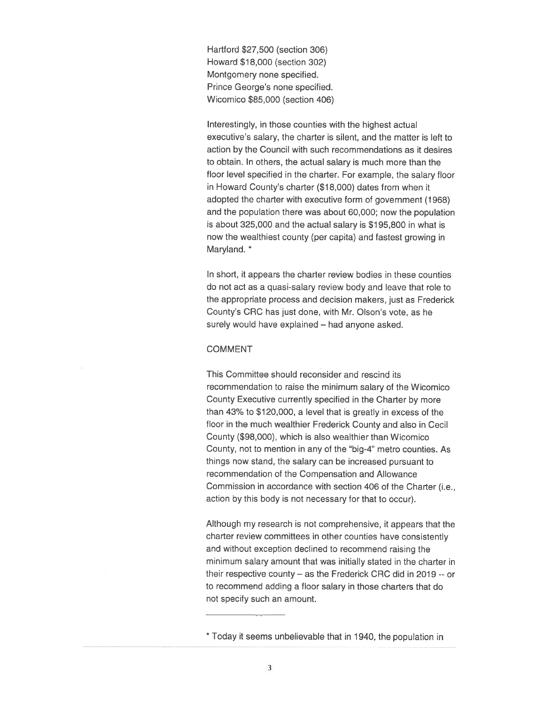Hartford \$27,500 (section 306) Howard \$1 8,000 (section 302) Montgomery none specified. Prince George's none specified. Wicomico \$85,000 (section 406)

Interestingly, in those counties with the highest actual executive's salary, the charter is silent, and the matter is left to action by the Council with such recommendations as it desires to obtain. In others, the actual salary is much more than the floor level specified in the charter. For example, the salary floor in Howard County's charter (\$18,000) dates from when it adopted the charter with executive form of governmen<sup>t</sup> (1968) and the population there was about 60,000; now the population is about 325,000 and the actual salary is \$195,800 in what is now the wealthiest county (per capita) and fastest growing in Maryland. \*

In short, it appears the charter review bodies in these counties do not act as <sup>a</sup> quasi.salary review body and leave that role to the appropriate process and decision makers, just as Frederick County's CRC has just done, with Mr. Olson's vote, as he surely would have explained — had anyone asked.

## COMMENT

This Committee should reconsider and rescind its recommendation to raise the minimum salary of the Wicomico County Executive currently specified in the Charter by more than 43% to \$120,000, <sup>a</sup> level that is greatly in excess of the floor in the much wealthier Frederick County and also in Cecil County (\$98,000), which is also wealthier than Wicomico County, not to mention in any of the "big-4" metro counties. As things now stand, the salary can be increased pursuan<sup>t</sup> to recommendation of the Compensation and Allowance Commission in accordance with section 406 of the Charter (i.e., action by this body is not necessary for that to occur).

Although my research is not comprehensive, it appears that the charter review committees in other counties have consistently and without exception declined to recommend raising the minimum salary amount that was initially stated in the charter in their respective county — as the Frederick CRC did in 2019 -- or to recommend adding <sup>a</sup> floor salary in those charters that do not specify such an amount.

<sup>\*</sup> Today it seems unbelievable that in 1940, the population in